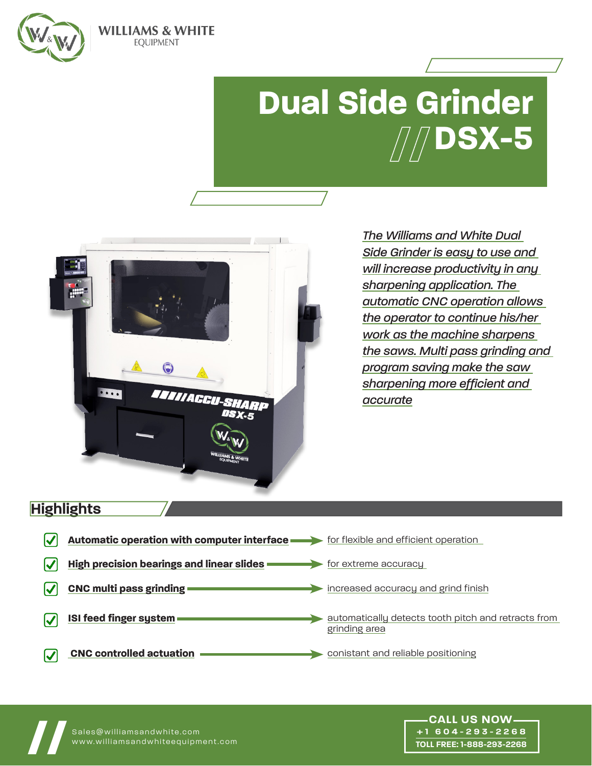

# **Dual Side Grinder DSX-5**



*The Williams and White Dual Side Grinder is easy to use and will increase productivity in any sharpening application. The automatic CNC operation allows the operator to continue his/her work as the machine sharpens the saws. Multi pass grinding and program saving make the saw sharpening more efficient and accurate*

> **+1 604-293-2268 TOLL FREE: 1-888-293-2268**

# **Highlights**